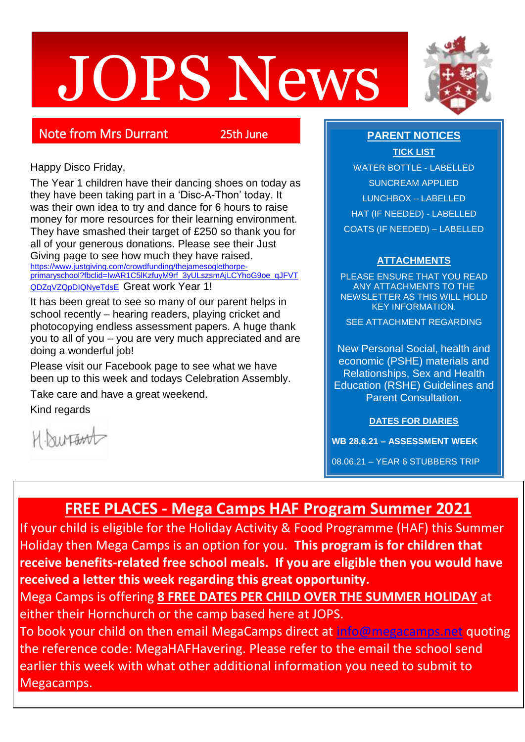# JOPS News



# Note from Mrs Durrant 25th June

Happy Disco Friday,

The Year 1 children have their dancing shoes on today as they have been taking part in a 'Disc-A-Thon' today. It was their own idea to try and dance for 6 hours to raise money for more resources for their learning environment. They have smashed their target of £250 so thank you for all of your generous donations. Please see their Just Giving page to see how much they have raised. [https://www.justgiving.com/crowdfunding/thejamesoglethorpe-](https://www.justgiving.com/crowdfunding/thejamesoglethorpe-primaryschool?fbclid=IwAR1C5lKzfuyM9rf_3yULszsmAjLCYhoG9oe_qJFVTQDZqVZQpDIQNyeTdsE)

[primaryschool?fbclid=IwAR1C5lKzfuyM9rf\\_3yULszsmAjLCYhoG9oe\\_qJFVT](https://www.justgiving.com/crowdfunding/thejamesoglethorpe-primaryschool?fbclid=IwAR1C5lKzfuyM9rf_3yULszsmAjLCYhoG9oe_qJFVTQDZqVZQpDIQNyeTdsE) [QDZqVZQpDIQNyeTdsE](https://www.justgiving.com/crowdfunding/thejamesoglethorpe-primaryschool?fbclid=IwAR1C5lKzfuyM9rf_3yULszsmAjLCYhoG9oe_qJFVTQDZqVZQpDIQNyeTdsE) Great work Year 1!

It has been great to see so many of our parent helps in school recently – hearing readers, playing cricket and photocopying endless assessment papers. A huge thank you to all of you – you are very much appreciated and are doing a wonderful job!

Please visit our Facebook page to see what we have been up to this week and todays Celebration Assembly.

Take care and have a great weekend.

Kind regards

1. burtant

# **PARENT NOTICES**

**TICK LIST** WATER BOTTLE - LABELLED SUNCREAM APPLIED LUNCHBOX – LABELLED HAT (IF NEEDED) - LABELLED COATS (IF NEEDED) – LABELLED

# **ATTACHMENTS**

PLEASE ENSURE THAT YOU READ ANY ATTACHMENTS TO THE NEWSLETTER AS THIS WILL HOLD KEY INFORMATION.

SEE ATTACHMENT REGARDING

New Personal Social, health and economic (PSHE) materials and Relationships, Sex and Health Education (RSHE) Guidelines and Parent Consultation.

**DATES FOR DIARIES**

**WB 28.6.21 – ASSESSMENT WEEK**

08.06.21 – YEAR 6 STUBBERS TRIP

# **FREE PLACES - Mega Camps HAF Program Summer 2021**

If your child is eligible for the Holiday Activity & Food Programme (HAF) this Summer Holiday then Mega Camps is an option for you. **This program is for children that receive benefits-related free school meals. If you are eligible then you would have received a letter this week regarding this great opportunity.**

Mega Camps is offering **8 FREE DATES PER CHILD OVER THE SUMMER HOLIDAY** at either their Hornchurch or the camp based here at JOPS.

To book your child on then email MegaCamps direct at [info@megacamps.net](mailto:info@megacamps.net) quoting the reference code: MegaHAFHavering. Please refer to the email the school send earlier this week with what other additional information you need to submit to Megacamps.